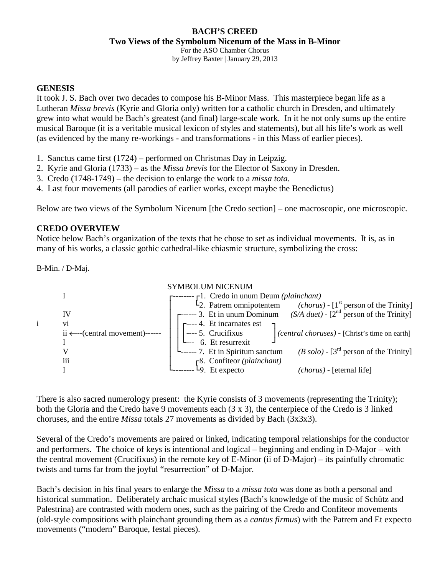#### **BACH'S CREED Two Views of the Symbolum Nicenum of the Mass in B-Minor**

For the ASO Chamber Chorus

by Jeffrey Baxter | January 29, 2013

## **GENESIS**

It took J. S. Bach over two decades to compose his B-Minor Mass. This masterpiece began life as a Lutheran *Missa brevis* (Kyrie and Gloria only) written for a catholic church in Dresden, and ultimately grew into what would be Bach's greatest (and final) large-scale work. In it he not only sums up the entire musical Baroque (it is a veritable musical lexicon of styles and statements), but all his life's work as well (as evidenced by the many re-workings - and transformations - in this Mass of earlier pieces).

- 1. Sanctus came first (1724) performed on Christmas Day in Leipzig.
- 2. Kyrie and Gloria (1733) as the *Missa brevis* for the Elector of Saxony in Dresden.
- 3. Credo (1748-1749) the decision to enlarge the work to a *missa tota.*
- 4. Last four movements (all parodies of earlier works, except maybe the Benedictus)

Below are two views of the Symbolum Nicenum [the Credo section] – one macroscopic, one microscopic.

# **CREDO OVERVIEW**

Notice below Bach's organization of the texts that he chose to set as individual movements. It is, as in many of his works, a classic gothic cathedral-like chiasmic structure, symbolizing the cross:

B-Min. / D-Maj.



There is also sacred numerology present: the Kyrie consists of 3 movements (representing the Trinity); both the Gloria and the Credo have 9 movements each (3 x 3), the centerpiece of the Credo is 3 linked choruses, and the entire *Missa* totals 27 movements as divided by Bach (3x3x3).

Several of the Credo's movements are paired or linked, indicating temporal relationships for the conductor and performers. The choice of keys is intentional and logical – beginning and ending in D-Major – with the central movement (Crucifixus) in the remote key of E-Minor (ii of D-Major) – its painfully chromatic twists and turns far from the joyful "resurrection" of D-Major.

Bach's decision in his final years to enlarge the *Missa* to a *missa tota* was done as both a personal and historical summation. Deliberately archaic musical styles (Bach's knowledge of the music of Schütz and Palestrina) are contrasted with modern ones, such as the pairing of the Credo and Confiteor movements (old-style compositions with plainchant grounding them as a *cantus firmus*) with the Patrem and Et expecto movements ("modern" Baroque, festal pieces).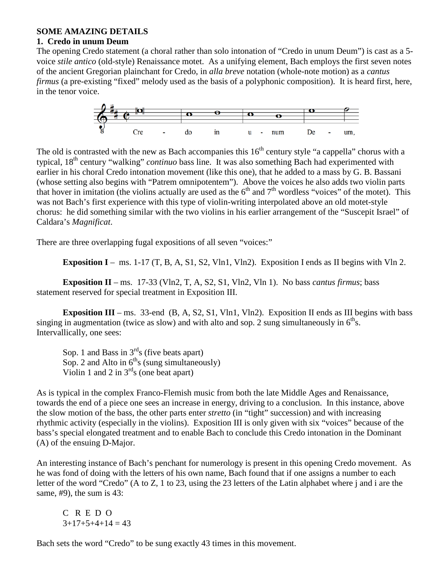#### **SOME AMAZING DETAILS**

#### **1. Credo in unum Deum**

The opening Credo statement (a choral rather than solo intonation of "Credo in unum Deum") is cast as a 5 voice *stile antico* (old-style) Renaissance motet. As a unifying element, Bach employs the first seven notes of the ancient Gregorian plainchant for Credo, in *alla breve* notation (whole-note motion) as a *cantus firmus* (a pre-existing "fixed" melody used as the basis of a polyphonic composition). It is heard first, here, in the tenor voice.



The old is contrasted with the new as Bach accompanies this  $16<sup>th</sup>$  century style "a cappella" chorus with a typical, 18th century "walking" *continuo* bass line. It was also something Bach had experimented with earlier in his choral Credo intonation movement (like this one), that he added to a mass by G. B. Bassani (whose setting also begins with "Patrem omnipotentem"). Above the voices he also adds two violin parts that hover in imitation (the violins actually are used as the  $6<sup>th</sup>$  and  $7<sup>th</sup>$  wordless "voices" of the motet). This was not Bach's first experience with this type of violin-writing interpolated above an old motet-style chorus: he did something similar with the two violins in his earlier arrangement of the "Suscepit Israel" of Caldara's *Magnificat*.

There are three overlapping fugal expositions of all seven "voices:"

**Exposition I** – ms. 1-17 (T, B, A, S1, S2, Vln1, Vln2). Exposition I ends as II begins with Vln 2.

**Exposition II** – ms. 17-33 (Vln2, T, A, S2, S1, Vln2, Vln 1). No bass *cantus firmus*; bass statement reserved for special treatment in Exposition III.

**Exposition III** – ms. 33-end (B, A, S2, S1, Vln1, Vln2). Exposition II ends as III begins with bass singing in augmentation (twice as slow) and with alto and sop. 2 sung simultaneously in  $6<sup>th</sup>$ s. Intervallically, one sees:

Sop. 1 and Bass in  $3<sup>rd</sup>$ s (five beats apart) Sop. 2 and Alto in  $6<sup>th</sup>$ s (sung simultaneously) Violin 1 and 2 in  $3<sup>rd</sup>s$  (one beat apart)

As is typical in the complex Franco-Flemish music from both the late Middle Ages and Renaissance, towards the end of a piece one sees an increase in energy, driving to a conclusion. In this instance, above the slow motion of the bass, the other parts enter *stretto* (in "tight" succession) and with increasing rhythmic activity (especially in the violins). Exposition III is only given with six "voices" because of the bass's special elongated treatment and to enable Bach to conclude this Credo intonation in the Dominant (A) of the ensuing D-Major.

An interesting instance of Bach's penchant for numerology is present in this opening Credo movement. As he was fond of doing with the letters of his own name, Bach found that if one assigns a number to each letter of the word "Credo" (A to Z, 1 to 23, using the 23 letters of the Latin alphabet where j and i are the same, #9), the sum is 43:

C R E D O  $3+17+5+4+14=43$ 

Bach sets the word "Credo" to be sung exactly 43 times in this movement.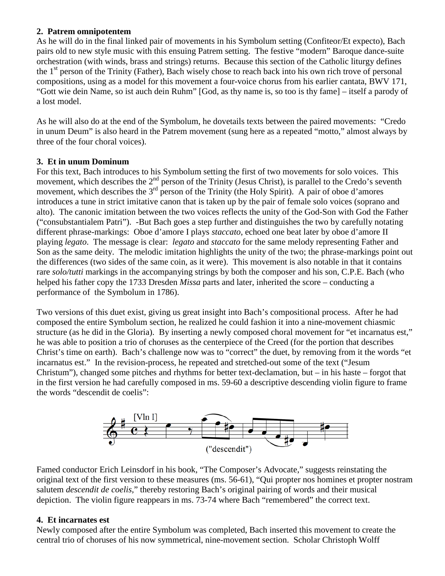## **2. Patrem omnipotentem**

As he will do in the final linked pair of movements in his Symbolum setting (Confiteor/Et expecto), Bach pairs old to new style music with this ensuing Patrem setting. The festive "modern" Baroque dance-suite orchestration (with winds, brass and strings) returns. Because this section of the Catholic liturgy defines the 1<sup>st</sup> person of the Trinity (Father), Bach wisely chose to reach back into his own rich trove of personal compositions, using as a model for this movement a four-voice chorus from his earlier cantata, BWV 171, "Gott wie dein Name, so ist auch dein Ruhm" [God, as thy name is, so too is thy fame] – itself a parody of a lost model.

As he will also do at the end of the Symbolum, he dovetails texts between the paired movements: "Credo in unum Deum" is also heard in the Patrem movement (sung here as a repeated "motto," almost always by three of the four choral voices).

# **3. Et in unum Dominum**

For this text, Bach introduces to his Symbolum setting the first of two movements for solo voices. This movement, which describes the  $2<sup>nd</sup>$  person of the Trinity (Jesus Christ), is parallel to the Credo's seventh movement, which describes the  $3<sup>rd</sup>$  person of the Trinity (the Holy Spirit). A pair of oboe d'amores introduces a tune in strict imitative canon that is taken up by the pair of female solo voices (soprano and alto). The canonic imitation between the two voices reflects the unity of the God-Son with God the Father ("consubstantialem Patri"). -But Bach goes a step further and distinguishes the two by carefully notating different phrase-markings: Oboe d'amore I plays *staccato*, echoed one beat later by oboe d'amore II playing *legato*. The message is clear: *legato* and *staccato* for the same melody representing Father and Son as the same deity. The melodic imitation highlights the unity of the two; the phrase-markings point out the differences (two sides of the same coin, as it were). This movement is also notable in that it contains rare *solo/tutti* markings in the accompanying strings by both the composer and his son, C.P.E. Bach (who helped his father copy the 1733 Dresden *Missa* parts and later, inherited the score – conducting a performance of the Symbolum in 1786).

Two versions of this duet exist, giving us great insight into Bach's compositional process. After he had composed the entire Symbolum section, he realized he could fashion it into a nine-movement chiasmic structure (as he did in the Gloria). By inserting a newly composed choral movement for "et incarnatus est," he was able to position a trio of choruses as the centerpiece of the Creed (for the portion that describes Christ's time on earth). Bach's challenge now was to "correct" the duet, by removing from it the words "et incarnatus est." In the revision-process, he repeated and stretched-out some of the text ("Jesum Christum"), changed some pitches and rhythms for better text-declamation, but – in his haste – forgot that in the first version he had carefully composed in ms. 59-60 a descriptive descending violin figure to frame the words "descendit de coelis":



Famed conductor Erich Leinsdorf in his book, "The Composer's Advocate," suggests reinstating the original text of the first version to these measures (ms. 56-61), "Qui propter nos homines et propter nostram salutem *descendit de coelis,*" thereby restoring Bach's original pairing of words and their musical depiction. The violin figure reappears in ms. 73-74 where Bach "remembered" the correct text.

# **4. Et incarnates est**

Newly composed after the entire Symbolum was completed, Bach inserted this movement to create the central trio of choruses of his now symmetrical, nine-movement section. Scholar Christoph Wolff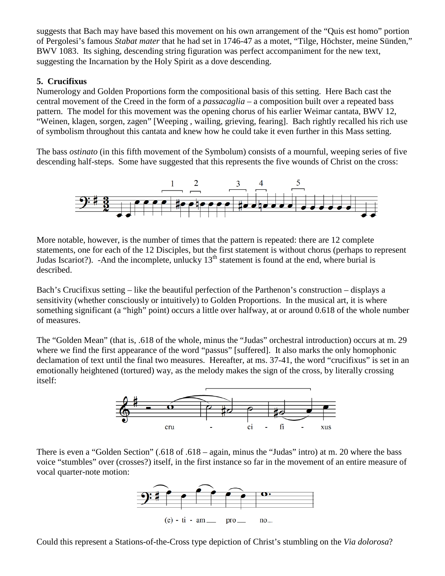suggests that Bach may have based this movement on his own arrangement of the "Quis est homo" portion of Pergolesi's famous *Stabat mater* that he had set in 1746-47 as a motet, "Tilge, Höchster, meine Sünden," BWV 1083. Its sighing, descending string figuration was perfect accompaniment for the new text, suggesting the Incarnation by the Holy Spirit as a dove descending.

## **5. Crucifixus**

Numerology and Golden Proportions form the compositional basis of this setting. Here Bach cast the central movement of the Creed in the form of a *passacaglia* – a composition built over a repeated bass pattern. The model for this movement was the opening chorus of his earlier Weimar cantata, BWV 12, "Weinen, klagen, sorgen, zagen" [Weeping , wailing, grieving, fearing]. Bach rightly recalled his rich use of symbolism throughout this cantata and knew how he could take it even further in this Mass setting.

The bass *ostinato* (in this fifth movement of the Symbolum) consists of a mournful, weeping series of five descending half-steps. Some have suggested that this represents the five wounds of Christ on the cross:



More notable, however, is the number of times that the pattern is repeated: there are 12 complete statements, one for each of the 12 Disciples, but the first statement is without chorus (perhaps to represent Judas Iscariot?). -And the incomplete, unlucky  $13<sup>th</sup>$  statement is found at the end, where burial is described.

Bach's Crucifixus setting – like the beautiful perfection of the Parthenon's construction – displays a sensitivity (whether consciously or intuitively) to Golden Proportions. In the musical art, it is where something significant (a "high" point) occurs a little over halfway, at or around 0.618 of the whole number of measures.

The "Golden Mean" (that is, .618 of the whole, minus the "Judas" orchestral introduction) occurs at m. 29 where we find the first appearance of the word "passus" [suffered]. It also marks the only homophonic declamation of text until the final two measures. Hereafter, at ms. 37-41, the word "crucifixus" is set in an emotionally heightened (tortured) way, as the melody makes the sign of the cross, by literally crossing itself:



There is even a "Golden Section" (.618 of .618 – again, minus the "Judas" intro) at m. 20 where the bass voice "stumbles" over (crosses?) itself, in the first instance so far in the movement of an entire measure of vocal quarter-note motion:



Could this represent a Stations-of-the-Cross type depiction of Christ's stumbling on the *Via dolorosa*?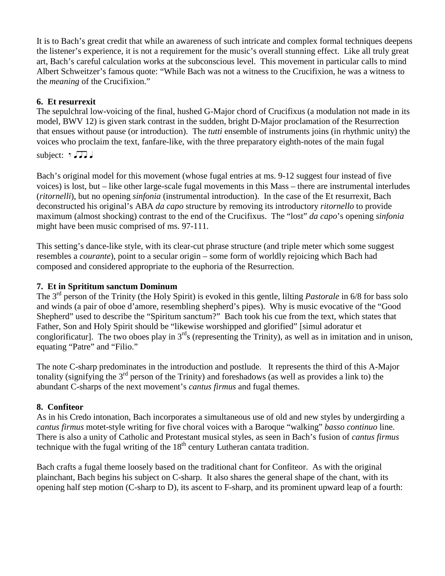It is to Bach's great credit that while an awareness of such intricate and complex formal techniques deepens the listener's experience, it is not a requirement for the music's overall stunning effect. Like all truly great art, Bach's careful calculation works at the subconscious level. This movement in particular calls to mind Albert Schweitzer's famous quote: "While Bach was not a witness to the Crucifixion, he was a witness to the *meaning* of the Crucifixion."

## **6. Et resurrexit**

The sepulchral low-voicing of the final, hushed G-Major chord of Crucifixus (a modulation not made in its model, BWV 12) is given stark contrast in the sudden, bright D-Major proclamation of the Resurrection that ensues without pause (or introduction). The *tutti* ensemble of instruments joins (in rhythmic unity) the voices who proclaim the text, fanfare-like, with the three preparatory eighth-notes of the main fugal

subject:  $7 \sqrt{14}$ 

Bach's original model for this movement (whose fugal entries at ms. 9-12 suggest four instead of five voices) is lost, but – like other large-scale fugal movements in this Mass – there are instrumental interludes (*ritornelli*), but no opening *sinfonia* (instrumental introduction). In the case of the Et resurrexit, Bach deconstructed his original's ABA *da capo* structure by removing its introductory *ritornello* to provide maximum (almost shocking) contrast to the end of the Crucifixus. The "lost" *da capo*'s opening *sinfonia* might have been music comprised of ms. 97-111.

This setting's dance-like style, with its clear-cut phrase structure (and triple meter which some suggest resembles a *courante*), point to a secular origin – some form of worldly rejoicing which Bach had composed and considered appropriate to the euphoria of the Resurrection.

## **7. Et in Sprititum sanctum Dominum**

The 3rd person of the Trinity (the Holy Spirit) is evoked in this gentle, lilting *Pastorale* in 6/8 for bass solo and winds (a pair of oboe d'amore, resembling shepherd's pipes). Why is music evocative of the "Good Shepherd" used to describe the "Spiritum sanctum?" Bach took his cue from the text, which states that Father, Son and Holy Spirit should be "likewise worshipped and glorified" [simul adoratur et conglorificatur]. The two oboes play in  $3<sup>rd</sup>$ s (representing the Trinity), as well as in imitation and in unison, equating "Patre" and "Filio."

The note C-sharp predominates in the introduction and postlude. It represents the third of this A-Major tonality (signifying the  $3<sup>rd</sup>$  person of the Trinity) and foreshadows (as well as provides a link to) the abundant C-sharps of the next movement's *cantus firmus* and fugal themes.

## **8. Confiteor**

As in his Credo intonation, Bach incorporates a simultaneous use of old and new styles by undergirding a *cantus firmus* motet-style writing for five choral voices with a Baroque "walking" *basso continuo* line. There is also a unity of Catholic and Protestant musical styles, as seen in Bach's fusion of *cantus firmus* technique with the fugal writing of the  $18<sup>th</sup>$  century Lutheran cantata tradition.

Bach crafts a fugal theme loosely based on the traditional chant for Confiteor. As with the original plainchant, Bach begins his subject on C-sharp. It also shares the general shape of the chant, with its opening half step motion (C-sharp to D), its ascent to F-sharp, and its prominent upward leap of a fourth: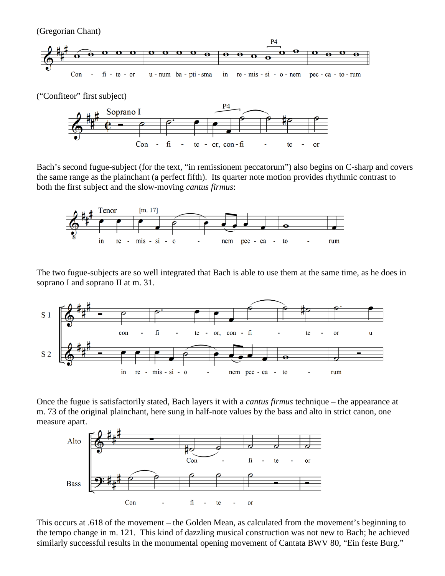(Gregorian Chant)



("Confiteor" first subject)



Bach's second fugue-subject (for the text, "in remissionem peccatorum") also begins on C-sharp and covers the same range as the plainchant (a perfect fifth). Its quarter note motion provides rhythmic contrast to both the first subject and the slow-moving *cantus firmus*:



The two fugue-subjects are so well integrated that Bach is able to use them at the same time, as he does in soprano I and soprano II at m. 31.



Once the fugue is satisfactorily stated, Bach layers it with a *cantus firmus* technique – the appearance at m. 73 of the original plainchant, here sung in half-note values by the bass and alto in strict canon, one measure apart.



This occurs at .618 of the movement – the Golden Mean, as calculated from the movement's beginning to the tempo change in m. 121. This kind of dazzling musical construction was not new to Bach; he achieved similarly successful results in the monumental opening movement of Cantata BWV 80, "Ein feste Burg."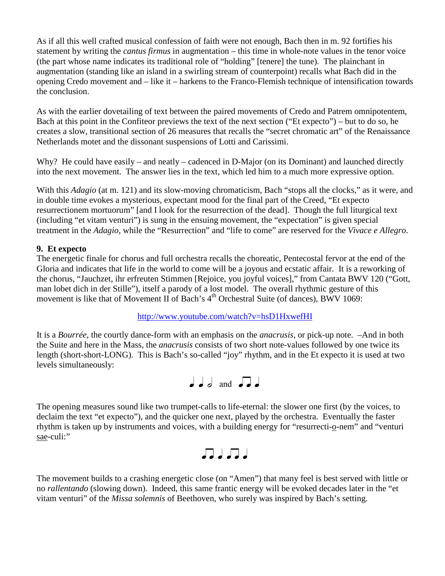As if all this well crafted musical confession of faith were not enough, Bach then in m. 92 fortifies his statement by writing the *cantus firmus* in augmentation – this time in whole-note values in the tenor voice (the part whose name indicates its traditional role of "holding" [tenere] the tune). The plainchant in augmentation (standing like an island in a swirling stream of counterpoint) recalls what Bach did in the opening Credo movement and – like it – harkens to the Franco-Flemish technique of intensification towards the conclusion.

As with the earlier dovetailing of text between the paired movements of Credo and Patrem omnipotentem, Bach at this point in the Confiteor previews the text of the next section ("Et expecto") – but to do so, he creates a slow, transitional section of 26 measures that recalls the "secret chromatic art" of the Renaissance Netherlands motet and the dissonant suspensions of Lotti and Carissimi.

Why? He could have easily – and neatly – cadenced in D-Major (on its Dominant) and launched directly into the next movement. The answer lies in the text, which led him to a much more expressive option.

With this *Adagio* (at m. 121) and its slow-moving chromaticism, Bach "stops all the clocks," as it were, and in double time evokes a mysterious, expectant mood for the final part of the Creed, "Et expecto resurrectionem mortuorum" [and I look for the resurrection of the dead]. Though the full liturgical text (including "et vitam venturi") is sung in the ensuing movement, the "expectation" is given special treatment in the *Adagio*, while the "Resurrection" and "life to come" are reserved for the *Vivace e Allegro*.

## **9. Et expecto**

The energetic finale for chorus and full orchestra recalls the choreatic, Pentecostal fervor at the end of the Gloria and indicates that life in the world to come will be a joyous and ecstatic affair. It is a reworking of the chorus, "Jauchzet, ihr erfreuten Stimmen [Rejoice, you joyful voices]," from Cantata BWV 120 ("Gott, man lobet dich in der Stille"), itself a parody of a lost model. The overall rhythmic gesture of this movement is like that of Movement II of Bach's  $4<sup>th</sup>$  Orchestral Suite (of dances), BWV 1069:

#### <http://www.youtube.com/watch?v=hsD1HxwefHI>

It is a *Bourrée*, the courtly dance-form with an emphasis on the *anacrusis*, or pick-up note. –And in both the Suite and here in the Mass, the *anacrusis* consists of two short note-values followed by one twice its length (short-short-LONG). This is Bach's so-called "joy" rhythm, and in the Et expecto it is used at two levels simultaneously:



The opening measures sound like two trumpet-calls to life-eternal: the slower one first (by the voices, to declaim the text "et expecto"), and the quicker one next, played by the orchestra. Eventually the faster rhythm is taken up by instruments and voices, with a building energy for "resurrecti-o-nem" and "venturi sae-culi:"



The movement builds to a crashing energetic close (on "Amen") that many feel is best served with little or no *rallentando* (slowing down). Indeed, this same frantic energy will be evoked decades later in the "et vitam venturi" of the *Missa solemnis* of Beethoven, who surely was inspired by Bach's setting.